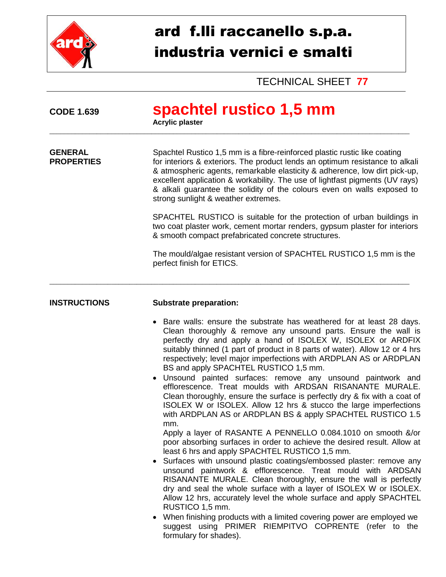

## ard f.lli raccanello s.p.a. industria vernici e smalti

TECHNICAL SHEET **77**

| <b>CODE 1.639</b>                   | spachtel rustico 1,5 mm<br><b>Acrylic plaster</b>                                                                                                                                                                                                                                                                                                                                                                                                                                                                                                                                                                                                                                                                                                                                                                                                                                                                                                                                                                                                                                                                                                                                                                                                                                                                                                                                                                                                                                            |  |  |  |
|-------------------------------------|----------------------------------------------------------------------------------------------------------------------------------------------------------------------------------------------------------------------------------------------------------------------------------------------------------------------------------------------------------------------------------------------------------------------------------------------------------------------------------------------------------------------------------------------------------------------------------------------------------------------------------------------------------------------------------------------------------------------------------------------------------------------------------------------------------------------------------------------------------------------------------------------------------------------------------------------------------------------------------------------------------------------------------------------------------------------------------------------------------------------------------------------------------------------------------------------------------------------------------------------------------------------------------------------------------------------------------------------------------------------------------------------------------------------------------------------------------------------------------------------|--|--|--|
| <b>GENERAL</b><br><b>PROPERTIES</b> | Spachtel Rustico 1,5 mm is a fibre-reinforced plastic rustic like coating<br>for interiors & exteriors. The product lends an optimum resistance to alkali<br>& atmospheric agents, remarkable elasticity & adherence, low dirt pick-up,<br>excellent application & workability. The use of lightfast pigments (UV rays)<br>& alkali guarantee the solidity of the colours even on walls exposed to<br>strong sunlight & weather extremes.                                                                                                                                                                                                                                                                                                                                                                                                                                                                                                                                                                                                                                                                                                                                                                                                                                                                                                                                                                                                                                                    |  |  |  |
|                                     | SPACHTEL RUSTICO is suitable for the protection of urban buildings in<br>two coat plaster work, cement mortar renders, gypsum plaster for interiors<br>& smooth compact prefabricated concrete structures.                                                                                                                                                                                                                                                                                                                                                                                                                                                                                                                                                                                                                                                                                                                                                                                                                                                                                                                                                                                                                                                                                                                                                                                                                                                                                   |  |  |  |
|                                     | The mould/algae resistant version of SPACHTEL RUSTICO 1,5 mm is the<br>perfect finish for ETICS.                                                                                                                                                                                                                                                                                                                                                                                                                                                                                                                                                                                                                                                                                                                                                                                                                                                                                                                                                                                                                                                                                                                                                                                                                                                                                                                                                                                             |  |  |  |
| <b>INSTRUCTIONS</b>                 | <b>Substrate preparation:</b>                                                                                                                                                                                                                                                                                                                                                                                                                                                                                                                                                                                                                                                                                                                                                                                                                                                                                                                                                                                                                                                                                                                                                                                                                                                                                                                                                                                                                                                                |  |  |  |
|                                     | Bare walls: ensure the substrate has weathered for at least 28 days.<br>Clean thoroughly & remove any unsound parts. Ensure the wall is<br>perfectly dry and apply a hand of ISOLEX W, ISOLEX or ARDFIX<br>suitably thinned (1 part of product in 8 parts of water). Allow 12 or 4 hrs<br>respectively; level major imperfections with ARDPLAN AS or ARDPLAN<br>BS and apply SPACHTEL RUSTICO 1,5 mm.<br>Unsound painted surfaces: remove any unsound paintwork and<br>efflorescence. Treat moulds with ARDSAN RISANANTE MURALE.<br>Clean thoroughly, ensure the surface is perfectly dry & fix with a coat of<br>ISOLEX W or ISOLEX. Allow 12 hrs & stucco the large imperfections<br>with ARDPLAN AS or ARDPLAN BS & apply SPACHTEL RUSTICO 1.5<br>mm.<br>Apply a layer of RASANTE A PENNELLO 0.084.1010 on smooth &/or<br>poor absorbing surfaces in order to achieve the desired result. Allow at<br>least 6 hrs and apply SPACHTEL RUSTICO 1,5 mm.<br>Surfaces with unsound plastic coatings/embossed plaster: remove any<br>unsound paintwork & efflorescence. Treat mould with ARDSAN<br>RISANANTE MURALE. Clean thoroughly, ensure the wall is perfectly<br>dry and seal the whole surface with a layer of ISOLEX W or ISOLEX.<br>Allow 12 hrs, accurately level the whole surface and apply SPACHTEL<br>RUSTICO 1,5 mm.<br>When finishing products with a limited covering power are employed we<br>suggest using PRIMER RIEMPITVO COPRENTE (refer to the<br>formulary for shades). |  |  |  |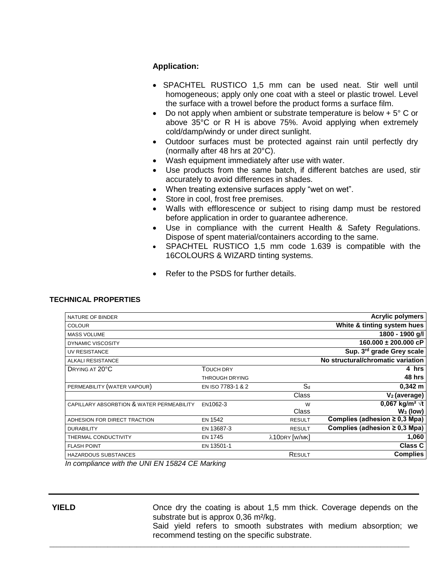## **Application:**

- SPACHTEL RUSTICO 1,5 mm can be used neat. Stir well until homogeneous; apply only one coat with a steel or plastic trowel. Level the surface with a trowel before the product forms a surface film.
- Do not apply when ambient or substrate temperature is below  $+5^{\circ}$  C or above 35°C or R H is above 75%. Avoid applying when extremely cold/damp/windy or under direct sunlight.
- Outdoor surfaces must be protected against rain until perfectly dry (normally after 48 hrs at 20°C).
- Wash equipment immediately after use with water.
- Use products from the same batch, if different batches are used, stir accurately to avoid differences in shades.
- When treating extensive surfaces apply "wet on wet".
- Store in cool, frost free premises.
- Walls with efflorescence or subject to rising damp must be restored before application in order to guarantee adherence.
- Use in compliance with the current Health & Safety Regulations. Dispose of spent material/containers according to the same.
- SPACHTEL RUSTICO 1,5 mm code 1.639 is compatible with the 16COLOURS & WIZARD tinting systems.
- Refer to the PSDS for further details.

## **TECHNICAL PROPERTIES**

| NATURE OF BINDER                          |                   |               | <b>Acrylic polymers</b>            |
|-------------------------------------------|-------------------|---------------|------------------------------------|
| <b>COLOUR</b>                             |                   |               | White & tinting system hues        |
| <b>MASS VOLUME</b>                        |                   |               | 1800 - 1900 g/l                    |
| <b>DYNAMIC VISCOSITY</b>                  |                   |               | $160.000 \pm 200.000$ cP           |
| UV RESISTANCE                             |                   |               | Sup. 3rd grade Grey scale          |
| <b>ALKALI RESISTANCE</b>                  |                   |               | No structural/chromatic variation  |
| DRYING AT 20°C                            | TOUCH DRY         |               | 4 hrs                              |
|                                           | THROUGH DRYING    |               | 48 hrs                             |
| PERMEABILITY (WATER VAPOUR)               | EN ISO 7783-1 & 2 | $S_d$         | $0,342 \; m$                       |
|                                           |                   | Class         | $V_2$ (average)                    |
| CAPILLARY ABSORBTION & WATER PERMEABILITY | EN1062-3          | W             | 0,067 kg/m <sup>2</sup> $\sqrt{t}$ |
|                                           |                   | Class         | $W_3$ (low)                        |
| ADHESION FOR DIRECT TRACTION              | <b>EN 1542</b>    | <b>RESULT</b> | Complies (adhesion $\geq 0.3$ Mpa) |
| <b>DURABILITY</b>                         | EN 13687-3        | <b>RESULT</b> | Complies (adhesion $\geq$ 0,3 Mpa) |
| THERMAL CONDUCTIVITY                      | <b>EN 1745</b>    | λ10DRY [W/MK] | 1,060                              |
| <b>FLASH POINT</b>                        | EN 13501-1        |               | <b>Class C</b>                     |
| HAZARDOUS SUBSTANCES                      |                   | RESULT        | <b>Complies</b>                    |
|                                           |                   |               |                                    |

\_\_\_\_\_\_\_\_\_\_\_\_\_\_\_\_\_\_\_\_\_\_\_\_\_\_\_\_\_\_\_\_\_\_\_\_\_\_\_\_\_\_\_\_\_\_\_\_\_\_\_\_\_\_\_\_\_\_\_\_\_\_\_\_\_\_\_\_\_\_\_\_\_\_\_\_\_\_\_\_\_\_\_\_\_\_\_\_\_\_\_\_\_\_\_\_\_\_\_

*In compliance with the UNI EN 15824 CE Marking*

**YIELD Conce dry the coating is about 1,5 mm thick. Coverage depends on the** substrate but is approx 0,36 m²/kg.

Said yield refers to smooth substrates with medium absorption; we recommend testing on the specific substrate.